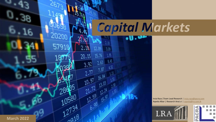

Insia Raza |Team Lead Research | [insia.raza@pacra.com](mailto:insia.raza@pacra.com) Aqeela Albar | Research Analyst | [aqeela@lra.com.lk](mailto:aqeela@lra.com.lk)



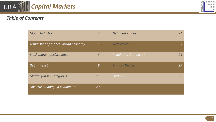

# *Table of Contents*

| <b>Global Industry</b>               | $\overline{3}$ | Net asset values            | 21 |
|--------------------------------------|----------------|-----------------------------|----|
| A snapshot of the Sri Lankan economy | $\sqrt{5}$     | <b>Yield curves</b>         | 23 |
| Stock market performance             | 6              | <b>Regulatory framework</b> | 24 |
| Debt market                          | 8 <sup>°</sup> | <b>Primary Dealers</b>      | 25 |
| <b>Mutual funds - categories</b>     | 15             | <b>Outlook</b>              | 27 |
| Unit trust managing companies        |                |                             |    |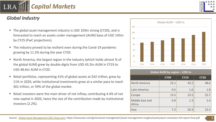

# *Global Industry*

- The global asset management industry is USD 103tn strong (CY20), and is forecasted to reach an assets under management (AUM) base of USD 145tn by CY25 (PwC projections).
- The industry proved to be resilient even during the Covid-19 pandemic growing by 11.2% during the year CY20.
- North America, the largest region in the industry (which holds almost % of the global AUM) grew by double digits from USD 43.2tn AUM in CY19 to USD 48.6tn AUM in CY20.
- Retail portfolios, representing 41% of global assets at \$42 trillion, grew by 11% in 2020, while institutional investments grew at a similar pace to reach \$61 trillion, or 59% of the global market.
- Retail investors were the main driver of net inflow, contributing 4.4% of net new capital in 2020, twice the size of the contribution made by institutional investors (2.2%).



| Global AUM by region - USD tn |             |             |             |  |  |  |  |  |  |  |
|-------------------------------|-------------|-------------|-------------|--|--|--|--|--|--|--|
|                               | <b>CY09</b> | <b>CY19</b> | <b>CY20</b> |  |  |  |  |  |  |  |
| <b>North America</b>          | 22.1        | 43.2        | 48.6        |  |  |  |  |  |  |  |
| Latin America                 | 0.5         | 1.6         | 1.8         |  |  |  |  |  |  |  |
| Europe                        | 13.5        | 23.5        | 25.7        |  |  |  |  |  |  |  |
| Middle East and<br>Africa     | 0.9         | 1.3         | 1.4         |  |  |  |  |  |  |  |
| Asia                          | 7.2         | 20.3        | 22.5        |  |  |  |  |  |  |  |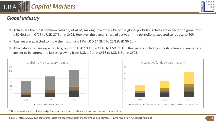

# *Global Industry*

- Actives are the most common category of AUM, making up almost 71% of the global portfolio. Actives are expected to grow from USD 60.6tn in CY16 to USD 87.6tn in CY25. However the overall share of actives in the portfolio is expected to reduce to 60%.
- Passives are expected to grow the most from 17% (USD 14.2tn) to 25% (USD 36.6tn).
- Alternatives too are expected to grow from USD 10.1tn in CY16 to USD 21.1tn. Real assets including infrastructure and real estate are set to be among the fastest growing from USD 1.2tn in CY16 to USD 5.6tn in CY25.





\*Alternatives include Includes hedge funds, private equity, real estate, infrastructure and commodities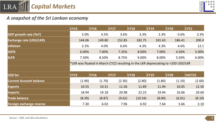



### *A snapshot of the Sri Lankan economy*

|                                | CY15        | CY16   | CY17                                                                                | CY18    | CY19   | CY20        | CY21          |
|--------------------------------|-------------|--------|-------------------------------------------------------------------------------------|---------|--------|-------------|---------------|
| <b>GDP growth rate (YoY)</b>   | 5.0%        | 4.5%   | 3.6%                                                                                | 3.3%    | 2.3%   | $-3.6%$     | 3.3%          |
| <b>Exchange rate (USD/LKR)</b> | 144.06      | 149.80 | 152.85                                                                              | 182.75  | 181.63 | 186.41      | 200.4         |
| Inflation                      | 2.2%        | 4.0%   | 6.6%                                                                                | 4.3%    | 4.3%   | 4.6%        | 12.1          |
| <b>SDFR</b>                    | 6.00%       | 7.00%  | 7.25%                                                                               | 8.00%   | 7.00%  | 4.50%       | 5.00%         |
| <b>SLFR</b>                    | 7.50%       | 8.50%  | 8.75%                                                                               | 9.00%   | 8.00%  | 5.50%       | 6.00%         |
|                                |             |        | *LKR was floated in March CY22 resulting in the LKR depreciating to $>$ 250 USD/LKR |         |        |             |               |
|                                |             |        |                                                                                     |         |        |             |               |
| USD bn                         | <b>CY15</b> | CY16   | CY17                                                                                | CY18    | CY19   | <b>CY20</b> | <b>1HCY21</b> |
| <b>Current Account balance</b> | (1.90)      | (1.70) | (2.30)                                                                              | (2.80)  | (1.80) | (1.10)      | (2.60)        |
| <b>Exports</b>                 | 10.55       | 10.31  | 11.36                                                                               | 11.89   | 11.94  | 10.05       | 12.50         |
| Imports                        | 18.94       | 19.18  | 20.98                                                                               | 22.23   | 19.94  | 16.06       | 20.60         |
| <b>Trade balance</b>           | (8.39)      | (8.87) | (9.62)                                                                              | (10.34) | (8.00) | (6.01)      | (8.10)        |
| Foreign exchange reserve       | 7.30        | 6.02   | 7.96                                                                                | 6.92    | 7.64   | 5.66        | 3.10          |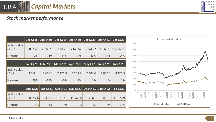



# *Stock market performance*

|                       | Dec CY18     |          |          | Jun CY19   Dec CY19   Jun CY20   Dec CY20   Jun CY21   Dec CY21 |          |          |                    | Stock market indices                                                                                                                                                                                                       |
|-----------------------|--------------|----------|----------|-----------------------------------------------------------------|----------|----------|--------------------|----------------------------------------------------------------------------------------------------------------------------------------------------------------------------------------------------------------------------|
| Index value<br>(ASPI) | 6,062.20     | 5,372.28 | 6,129.21 | 5,149.57                                                        | 6,774.22 |          | 7,837.76 12,226.01 | 16000<br>14000                                                                                                                                                                                                             |
| <b>Returns</b>        | $-2%$        | $-11%$   | 14%      | $-16%$                                                          | 32%      | 16%      | 54%                | 12000                                                                                                                                                                                                                      |
|                       | Jan CY21 $ $ |          |          | Feb CY21   Mar CY21   Apr CY21   May CY2   Jun CY21             |          |          | Jul CY21           | 10000<br>8000                                                                                                                                                                                                              |
| Index value<br>(ASPI) | 8,668.1      | 7,476.3  | 7,121.3  | 7,208.2                                                         | 7,403.4  | 7,837.8  | 8,120.5            | 6000                                                                                                                                                                                                                       |
| <b>Returns</b>        | 28%          | $-14%$   | $-5%$    | 1%                                                              | 3%       | 6%       | 3%                 | 4000                                                                                                                                                                                                                       |
|                       |              |          |          | Aug CY21   Sep CY21   Oct CY21   Nov CY21   Dec CY21   Jan CY22 |          |          | Feb CY22           | 2000                                                                                                                                                                                                                       |
| Index value<br>(ASPI) | 8,997.6      | 9,459.9  | 10,162.9 | 11,440.5                                                        | 12,226.0 | 13,009.5 | 11,577.9           | 1/2/2019<br>5/2/2019<br>7/2/2019<br>9/2/2019<br>1/2/2020<br>3/2/2020<br>5/2/2020<br>7/2/2020<br>9/2/2020<br>11/2/2020<br>11/2/2019<br>1/2/2021<br>7/2/202<br>3/2/2019<br>5/2/2021<br>/202<br>3/2/202<br>$\widetilde{\sim}$ |
| <b>Returns</b>        | 11%          | 5%       | 7%       | 13%                                                             | 7%       | 6%       | $-11%$             | SL S&P 20 Index<br>CSE ASPI Index                                                                                                                                                                                          |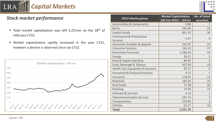



# *Stock market performance*

- **Total market capitalization was LKR 5,251mn on the 28<sup>th</sup> of** February CY22.
- Market capitalization rapidly increased in the year CY21, however a decline is observed since Jan CY22.



| <b>GICS Industry group</b>                  | <b>Market Capitalization</b><br>(28-Feb-2022) – LKR bn | No. of listed<br>securities |
|---------------------------------------------|--------------------------------------------------------|-----------------------------|
| <b>Automobiles &amp; Components</b>         | 6.88                                                   | $\mathbf{1}$                |
| <b>Banks</b>                                | 345.04                                                 | 16                          |
| <b>Capital Goods</b>                        | 851.32                                                 | 30                          |
| <b>Commercial &amp; Professional</b>        | 5.47                                                   | 6                           |
| <b>Services</b>                             |                                                        |                             |
| <b>Consumer Durables &amp; Apparel</b>      | 102.87                                                 | 14                          |
| <b>Consumer Services</b>                    | 156.29                                                 | 37                          |
| <b>Diversified Financials</b>               | 1,286.43                                               | 54                          |
| <b>Energy</b>                               | 38.21                                                  | 3                           |
| <b>Food &amp; Staples Retailing</b>         | 84.95                                                  | 5                           |
| Food, Beverage & Tobacco                    | 937.94                                                 | 50                          |
| <b>Health Care Equipment &amp; Services</b> | 99.71                                                  | 9                           |
| <b>Household &amp; Personal Products</b>    | 9.27                                                   | $\overline{2}$              |
| Insurance                                   | 178.01                                                 | 13                          |
| <b>Materials</b>                            | 183.26                                                 | 25                          |
| <b>Real Estate</b>                          | 71.28                                                  | 20                          |
| Retailing                                   | 73.58                                                  | 14                          |
| Software & Services                         | 6.14                                                   | $\overline{1}$              |
| <b>Telecommunication Services</b>           | 181.14                                                 | $\overline{2}$              |
| Transportation                              | 579.80                                                 | 3                           |
| <b>Utilities</b>                            | 54.17                                                  | 10                          |
| <b>Total</b>                                | 5,251.76                                               |                             |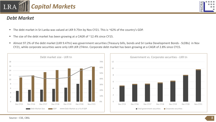

- The debt market in Sri Lanka was valued at LKR 9.75tn by Nov CY21. This is ~62% of the country's GDP.
- **The size of the debt market has been growing at a CAGR of**  $\sim$ **12.4% since CY15.**
- Almost 97.2% of the debt market (LKR 9.47tn) was government securities (Treasury bills, bonds and Sri Lanka Development Bonds SLDBs) in Nov CY21, while corporate securities were only LKR LKR 274mn. Corporate debt market has been growing at a CAGR of 2.8% since CY15.

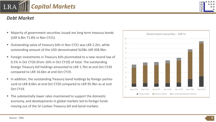

- Outstanding value of treasury bills in Nov CY21 was LKR 2.2tn, while outstanding amount of the USD denominated SLDBs LKR 458.9bn.
- Foreign investments in Treasury bills plummeted to a new record low of 0.1% in Oct CY20 (from 16% in Oct CY19) of total. The outstanding foreign Treasury bill holdings amounted to LKR 1.7bn at end Oct CY20 compared to LKR 16.6bn at end Oct CY19.
- In addition, the outstanding Treasury bond holdings by foreign parties sunk to LKR 8.6bn at end Oct CY20 compared to LKR 95.9bn as at end Oct CY19.
- The substantially lower rates maintained to support the domestic economy, and developments in global markets led to foreign funds moving out of the Sri Lankan Treasury bill and bond markets.



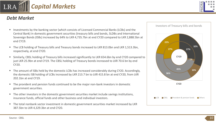- Investments by the banking sector (which consists of Licensed Commercial Banks (LCBs) and the Central Bank) in domestic government securities (treasury bills and bonds, SLDBs and International Sovereign Bonds (ISBs) increased by 64% to LKR 4,735.7bn at end CY20 compared to LKR 2,888.5bn at end CY19.
- The LCB holding of Treasury bills and Treasury bonds increased to LKR 813.0bn and LKR 1,513.3bn, respectively, at end CY20.
- Similarly, CBSL holding of Treasury bills increased significantly to LKR 654.6bn by end CY20 compared to just LKR 25.9bn at end CY19. The CBSL holding of Treasury bonds increased to LKR 70.6 bn by end CY20.
- The amount of ISBs held by the domestic LCBs has increased considerably during CY20. Accordingly, the domestic ISB holding of LCBs increased by LKR 213.7 bn to LKR 415.8 bn at end CY20, from LKR 202.1bn at end CY19.
- The provident and pension funds continued to be the major non-bank investors in domestic government securities.
- The other investors in the domestic government securities market include savings institutions, insurance funds, official funds and other business and individual investors.
- The total nonbank sector investment in domestic government securities market increased by LKR 387.5bn to LKR 4,329.3bn at end CY20.







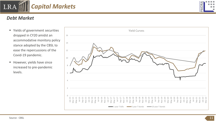■ Yields of government securities dropped in CY20 amidst an accommodative monitory policy stance adopted by the CBSL to ease the repercussions of the Covid-19 pandemic.

*Capital Markets*

■ However, yields have since increased to pre-pandemic levels.

# *Debt Market*

LRA



Yield Curves

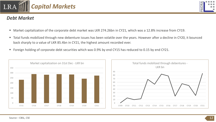

- Market capitalization of the corporate debt market was LKR 274.26bn in CY21, which was a 12.8% increase from CY19.
- Total funds mobilized through new debenture issues has been volatile over the years. However after a decline in CY20, it bounced back sharply to a value of LKR 85.4bn in CY21, the highest amount recorded ever.
- Foreign holding of corporate debt securities which was 0.9% by end CY15 has reduced to 0.15 by end CY21.

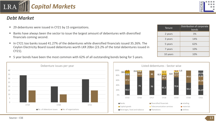LRA

- 29 debentures were issued in CY21 by 15 organizations.
- Banks have always been the sector to issue the largest amount of debentures with diversified financials coming second.
- In CY21 too banks issued 41.27% of the debentures while diversified financials issued 35.26%. The Ceylon Electricity Board issued debentures worth LKR 20bn (23.2% of the total debentures issued in CY21).
- 5 year bonds have been the most common with 62% of all outstanding bonds being for 5 years.





| <b>Tenure</b> | Distribution of corporate<br>bonds |
|---------------|------------------------------------|
| 2 years       | 3%                                 |
| 3 years       | 14%                                |
| 5 years       | 62%                                |
| 7 years       | 10%                                |
| 10 years      | 10%                                |

**50.2 41.27**

**35.26**

**0.29 23.19**

**49.8**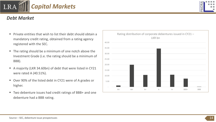- Private entities that wish to list their debt should obtain a mandatory credit rating, obtained from a rating agency registered with the SEC.
- The rating should be a minimum of one notch above the Investment Grade (i.e. the rating should be a minimum of BBB).
- A majority (LKR 34.60bn) of debt that were listed in CY21 were rated A (40.51%).
- Over 90% of the listed debt in CY21 were of A grades or higher.
- Two debenture issues had credit ratings of BBB+ and one debenture had a BBB rating.



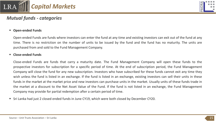



### *Mutual funds - categories*

#### ▪ **Open-ended Funds**

Open-ended Funds are funds where investors can enter the fund at any time and existing investors can exit out of the fund at any time. There is no restriction on the number of units to be issued by the fund and the fund has no maturity. The units are purchased from and sold to the Fund Management Company.

#### ▪ **Close-ended Funds**

Close-ended Funds are funds that carry a maturity date. The Fund Management Company will open these funds to the prospective investors for subscription for a specific period of time. At the end of subscription period, the Fund Management Company will close the fund for any new subscription. Investors who have subscribed for these funds cannot exit any time they wish unless the fund is listed in an exchange. If the fund is listed in an exchange, existing investors can sell their units in these funds in the market at the market price and new investors can purchase units in the market. Usually units of these funds trade in the market at a discount to the Net Asset Value of the Fund. If the fund is not listed in an exchange, the Fund Management Company may provide for partial redemption after a certain period of time.

▪ Sri Lanka had just 2 closed ended funds in June CY19, which were both closed by December CY20.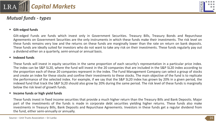

# *Mutual funds - types*



### ▪ **Gilt-edged funds**

Gilt-edged Funds are funds which invest only in Government Securities. Treasury Bills, Treasury Bonds and Repurchase Agreements on Government Securities are the only instruments in which these funds make their investments. The risk level on these funds remains very low and the returns on these funds are marginally lower than the rate on return on bank deposits. These funds are ideally suited for investors who do not want to take any risk on their investments. These funds regularly pay out a dividend either on a quarterly, semi-annual or annual basis.

#### ▪ **Indexed funds**

These funds will invest in equity securities in the same proportion of each security's representation in a particular price index. The index can be S&P SL20, where the fund will invest in the 20 companies that are included in the S&P SL20 index according to the proportion each of these 20 companies represent in the index. The Fund Management Company can select a group of stocks and create an index for these stocks and confine their investments to these stocks. The main objective of the fund is to replicate the performance of the selected index. For example, if we say that the S&P SL20 index has grown by 20% in a given period, the indexed fund that track the S&P SL20 should also grow by 20% during the same period. The risk level of these funds is marginally below the risk level of growth funds.

### ▪ **Income funds or high yield funds**

These funds invest in fixed income securities that provide a much higher return than the Treasury Bills and Bank Deposits. Major part of the investments of the funds is made in corporate debt securities yielding higher returns. These funds also make investments in Treasury Bills, Bank Deposits and Repurchase Agreements. Investors in these funds get a regular dividend from the fund, either semi-annually or annually.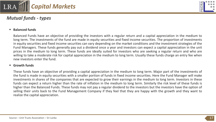

## *Mutual funds - types*

#### ▪ **Balanced funds**

Balanced Funds have an objective of providing the investors with a regular return and a capital appreciation in the medium to long term. The investments of the fund are made in equity securities and fixed income securities. The proportion of investments in equity securities and fixed income securities can vary depending on the market conditions and the investment strategies of the Fund Managers. These funds generally pay out a dividend once a year and investors can expect a capital appreciation in the unit prices in the medium to long term. These funds are ideally suited for investors who are seeking a regular return and who are willing to take a moderate risk for capital appreciation in the medium to long term. Usually these funds charge an entry fee when new investors enter the fund.

#### ▪ **Growth funds**

These funds have an objective of providing a capital appreciation in the medium to long term. Major part of the investments of the fund is made in equity securities with a smaller portion of funds in fixed income securities. Here the Fund Manager will make investments in shares of the companies that are expected to grow their earnings in the medium to long term. Investors in these funds can expect a return higher than the rate of inflation in the medium to long term. Similarly the risk level of these funds is higher than the Balanced Funds. These funds may not pay a regular dividend to the investors but the investors have the option of selling their units back to the Fund Management Company if they feel that they are happy with the growth and they want to realize the capital appreciation.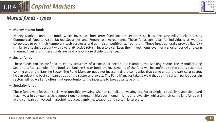

# *Mutual funds - types*



### ▪ **Money market funds**

Money Market Funds are funds which invest in short term fixed income securities such as, Treasury Bills, Bank Deposits, Commercial Papers, Asset Backed Securities and Repurchase Agreements. These funds are ideal for individuals as well as corporates to park their temporary cash surpluses and earn a competitive tax free return. These funds generally provide liquidity similar to a savings account with a very attractive return. Investors can keep their investments even for a shorter period and earn a return. Investors in these funds are paid one or more dividends per year.

#### ▪ **Sector funds**

These funds can be confined to equity securities of a particular sector. For example, the Banking Sector, the Manufacturing Sector etc. For example, if the fund is a Banking Sector fund, the investments of the fund will be confined to the equity securities coming under the Banking Sector. The Fund Manager need not invest in all the companies that come under the particular sector, he can select the best companies out of the sector and invest. The Fund Manager takes a view that during certain periods certain sectors will do well and offers that opportunity to the investors to take advantage of it.

#### ▪ **Specialty funds**

These funds may focus on socially responsible investing, Shariah compliant investing etc. For example, a socially responsible fund may invest in companies that support environmental initialtives, human rights and diversity, whilst Shariah compliant funds will avoid companies involved in alcohol, tobacco, gambling, weapons and certain leisure etc.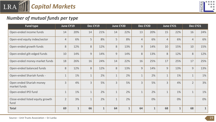



# *Number of mutual funds per type*

| <b>Fund type</b>                         |                | June CY19    |                | Dec CY19     |              | June CY20    |                | Dec CY20     | June CY21      |              |                | Dec CY21     |
|------------------------------------------|----------------|--------------|----------------|--------------|--------------|--------------|----------------|--------------|----------------|--------------|----------------|--------------|
| Open-ended income funds                  | 14             | 20%          | 14             | 21%          | 14           | 22%          | 13             | 20%          | 15             | 22%          | 16             | 24%          |
| Open-end equity index/sector             | $\overline{4}$ | 6%           | 5              | 8%           | 5            | 8%           | $\overline{4}$ | 6%           | $\overline{4}$ | 6%           | $\overline{4}$ | 6%           |
| Open-ended growth funds                  | 8              | 12%          | 8              | 12%          | 8            | 13%          | 9              | 14%          | 10             | 15%          | 10             | 15%          |
| Open-ended gilt-edged funds              | 10             | 14%          | 9              | 14%          | 9            | 14%          | 8              | 13%          | 8              | 12%          | 8              | 12%          |
| Open-ended money-market funds            | 18             | 26%          | 16             | 24%          | 14           | 22%          | 16             | 25%          | 17             | 25%          | 17             | 25%          |
| Open-ended balanced funds                | 8              | 12%          | 8              | 12%          | 8            | 13%          | 9              | 14%          | 9              | 13%          | 9              | 13%          |
| Open-ended Shariah funds -               | $\mathbf{1}$   | 1%           | $\mathbf{1}$   | 2%           | $\mathbf{1}$ | 2%           | $\mathbf{1}$   | 2%           | $\mathbf{1}$   | 1%           | $\mathbf{1}$   | 1%           |
| Open ended Shariah money<br>market funds | 3              | 4%           | $\overline{3}$ | 5%           | 3            | 5%           | 3              | 5%           | 3              | 4%           | $\overline{2}$ | 3%           |
| Open-ended IPO fund                      | $\mathbf{1}$   | 1%           | $\mathbf{1}$   | 2%           | $\mathbf{1}$ | 2%           | $\mathbf 1$    | 2%           | $\mathbf{1}$   | 1%           | $\mathbf{1}$   | 1%           |
| Close-ended listed equity growth<br>fund | $\overline{2}$ | 3%           | $\mathbf 1$    | 2%           | $\mathbf{1}$ | 2%           |                | 0%           |                | 0%           |                | 0%           |
| <b>Total</b>                             | 69             | $\mathbf{1}$ | 66             | $\mathbf{1}$ | 64           | $\mathbf{1}$ | 64             | $\mathbf{1}$ | 68             | $\mathbf{1}$ | 68             | $\mathbf{1}$ |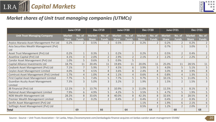

# *Market shares of Unit trust managing companies (UTMCs)*

|                                          |               | <b>June CY19</b> | Dec CY19      |                | <b>June CY20</b> |                | Dec CY20<br><b>June CY21</b> |                | Dec CY21      |                |               |                |
|------------------------------------------|---------------|------------------|---------------|----------------|------------------|----------------|------------------------------|----------------|---------------|----------------|---------------|----------------|
| <b>Unit Trust Managing Company</b>       | <b>Market</b> | No. of           | <b>Market</b> | No. of         | <b>Market</b>    | No. of         | <b>Market</b>                | No. of         | <b>Market</b> | No. of         | <b>Market</b> | No. of         |
|                                          | <b>Share</b>  | <b>Funds</b>     | <b>Share</b>  | <b>Funds</b>   | <b>Share</b>     | <b>Funds</b>   | <b>Share</b>                 | <b>Funds</b>   | <b>Share</b>  | <b>Funds</b>   | <b>Share</b>  | <b>Funds</b>   |
| Arpico Ataraxia Asset Management Pvt Ltd | 0.2%          |                  | 0.5%          |                | 0.5%             |                | 0.2%                         |                | 0.2%          |                | 0.2%          | $\overline{2}$ |
| Asia Securities Wealth Management (Pvt)  |               |                  |               |                |                  |                |                              |                | 0.7%          |                | 3.0%          | $\mathbf{1}$   |
| Ltd                                      |               |                  |               |                |                  |                |                              |                |               |                |               |                |
| Asset Trust Management (Pvt) Ltd         | 0.2%          | $\mathbf{1}$     | 0.3%          | $\mathbf{1}$   | 0.2%             | $\mathbf{1}$   | 0.2%                         | $\mathbf{1}$   | 0.5%          | $2^{\circ}$    | 0.4%          | $\overline{2}$ |
| Assetline Capital (Pvt) Ltd              | 4.1%          | $\overline{3}$   | 2.0%          | $\overline{2}$ | 2.9%             | $\overline{2}$ | 2.1%                         | $\overline{2}$ | 2.2%          | $\overline{2}$ | 2.2%          | $2^{\circ}$    |
| Candor Asset Management (Pvt) Ltd        | 1.0%          | 5                | 0.6%          | 5              | 0.9%             | 5 <sup>1</sup> |                              |                |               |                |               |                |
| Capital Alliance Investments Ltd         | 18.7%         | 11               | 20.4%         | 11             | 19.8%            | 11             | 20.0%                        | 11             | 25.0%         | 11             | 28.5%         | 11             |
| Ceybank Asset Management (Pvt) Ltd       | 7.1%          | $\overline{7}$   | 5.9%          |                | 4.5%             | 6              | 3.9%                         | 5              | 4.0%          | 5              | 5.1%          | 5              |
| Ceylon Asset Management Limited          | 4.0%          | $\overline{9}$   | 4.5%          | 8              | 3.6%             | 8              | 2.4%                         | 8              | 3.0%          | 8              | 3.9%          | 8              |
| Comtrust Asset Management (Pvt) Limited  | 1.7%          | $\overline{4}$   | 1.0%          | $\overline{4}$ | 1.1%             | $\overline{4}$ | 0.6%                         | $\overline{4}$ | 0.8%          | $\overline{4}$ | 1.3%          | 3              |
| First Capital Asset Management Limited   | 7.7%          | 5                | 7.4%          | 5              | 7.7%             | 5              | 9.7%                         | 5              | 10.1%         | 5 <sup>1</sup> | 11.0%         | 5              |
| <b>Guardian Acuity Asset Management</b>  | 7.3%          | $\overline{3}$   | 5.0%          | $\overline{3}$ | 3.2%             | $\overline{2}$ | 1.9%                         | $2^{\circ}$    | 1.5%          | $\overline{2}$ | 1.5%          | 3              |
| Limited                                  |               |                  |               |                |                  |                |                              |                |               |                |               |                |
| JB Financial (Pvt) Ltd                   | 12.1%         | $\overline{3}$   | 13.7%         | $\overline{3}$ | 10.9%            | 3              | 11.0%                        | $\overline{3}$ | 11.5%         | $\overline{3}$ | 8.1%          | $\overline{3}$ |
| National Asset Management Limited        | 7.9%          | 6                | 4.9%          | 5              | 4.2%             | 5              | 3.5%                         | 5              | 4.7%          |                | 1.9%          | 5              |
| NDB Wealth Management Ltd                | 28.2%         | 8                | 33.6%         | 8              | 40.0%            | 8              | 42.3%                        | 8              | 32.6%         | 8              | 28.5%         | $\,8\,$        |
| Premier Wealth Management Limited        | 0.2%          | $\overline{2}$   | 0.2%          | $\overline{2}$ | 0.4%             | $\overline{2}$ | 0.4%                         | $\overline{2}$ | 0.4%          | $\overline{2}$ | 0.3%          | $\overline{2}$ |
| Senfin Asset Management (Pvt) Ltd        |               |                  |               |                |                  |                | 1.1%                         | 4              | 1.9%          | 6              | 2.1%          | 6              |
| Softlogic Asset Management (Pvt) Ltd     |               |                  |               |                |                  |                | 0.5%                         | $\overline{2}$ | 1.2%          | $\overline{2}$ | 2.0%          | $2^{\circ}$    |
| Total                                    |               | 69               |               | 66             |                  | 64             |                              | 64             |               | 68             |               | 68             |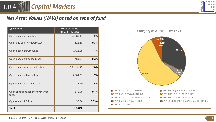



# *Net Asset Values (NAVs) based on type of fund*

| <b>Type of fund</b>                      | <b>Net Asset Value</b><br>(LKR mn) - Dec CY21 |       |
|------------------------------------------|-----------------------------------------------|-------|
| Open-ended income funds                  | 62,389.13                                     | 32%   |
| Open-end equity index/sector             | 521.63                                        | 0.3%  |
| Open-ended growth funds                  | 7,422.58                                      | 4%    |
| Open-ended gilt-edged funds              | 483.04                                        | 0.2%  |
| Open-ended money-market funds            | 109,037.45                                    | 56%   |
| Open-ended balanced funds                | 12,984.31                                     | 7%    |
| Open-ended Shariah funds -               | 78.50                                         | 0.04% |
| Open ended Shariah money market<br>funds | 846.98                                        | 0.4%  |
| Open-ended IPO fund                      | 56.86                                         | 0.03% |
| <b>Total</b>                             | 193,820                                       |       |

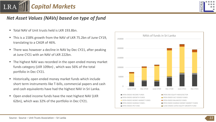



# *Net Asset Values (NAVs) based on type of fund*

- Total NAV of Unit trusts held is LKR 193.8bn
- This is a 158% growth from the NAV of LKR 75.2bn of June CY19, translating to a CAGR of 46%.
- There was however a decline in NAV by Dec CY21, after peaking at June CY21 with an NAV of LKR 222bn.
- The highest NAV was recorded in the open ended money market funds category (LKR 109bn) , which was 56% of the total portfolio in Dec CY21.
- Historically, open ended money market funds which include short term instruments like T-bills, commercial papers and cash and cash equivalents have had the highest NAV in Sri Lanka.
- Open ended income funds have the next highest NAV (LKR 62bn), which was 32% of the portfolio in Dec CY21.

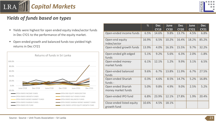

- Yields were highest for open ended equity index/sector funds in Dec CY21 to the performance of the equity market.
- Open-ended growth and balanced funds too yielded high returns in Dec CY21



|                                          | %     | <b>Dec</b><br><b>CY19</b> | June<br><b>CY20</b> | <b>Dec</b><br><b>CY20</b> | June<br><b>CY21</b> | <b>Dec</b><br><b>CY21</b> |
|------------------------------------------|-------|---------------------------|---------------------|---------------------------|---------------------|---------------------------|
| Open-ended income funds                  | 6.5%  | 14.6%                     | 9.8%                | 13.7%                     | 4.5%                | 6.8%                      |
| Open-end equity<br>index/sector          | 16.9% | 6.5%                      | 10.2%               | 16.4%                     | 18.2%               | 85.2%                     |
| Open-ended growth funds                  | 13.9% | 4.0%                      | 16.3%               | 15.5%                     | 9.7%                | 32.2%                     |
| Open-ended gilt-edged<br>funds           | 5.1%  | 9.2%                      | 5.6%                | 6.3%                      | 2.0%                | $-1.8%$                   |
| Open-ended money-<br>market funds        | 6.1%  | 12.1%                     | 1.2%                | 9.9%                      | 3.1%                | 6.5%                      |
| Open-ended balanced<br>funds             | 9.6%  | 6.7%                      | 13.8%               | 11.9%                     | 6.7%                | 27.5%                     |
| Open-ended Shariah<br>funds -            | 0.3%  | 4.6%                      | 8.5%                | 14.7%                     | 5.2%                | 16.8%                     |
| Open ended Shariah<br>money market funds | 5.0%  | 9.8%                      | 4.9%                | 9.0%                      | 2.5%                | 5.2%                      |
| Open-ended IPO fund                      | 6.8%  | 23.9%                     | 12.1%               | 27.8%                     | 1.9%                | 20.4%                     |
| Close-ended listed equity<br>growth fund | 10.6% | 4.5%                      | 18.1%               |                           |                     |                           |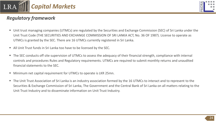

# *Regulatory framework*

- Unit trust managing companies (UTMCs) are regulated by the Securities and Exchange Commission (SEC) of Sri Lanka under the Unit Trust Code (THE SECURITIES AND EXCHANGE COMMISSION OF SRI LANKA ACT, No. 36 OF 1987). License to operate as UTMCs is granted by the SEC. There are 16 UTMCs currently registered in Sri Lanka.
- All Unit Trust funds in Sri Lanka too have to be licensed by the SEC.
- The SEC conducts off site supervision of UTMCs to assess the adequacy of their financial strength, compliance with internal controls and procedures Rules and Regulatory requirements. UTMCs are required to submit monthly returns and unaudited financial statements to the SEC.
- Minimum net capital requirement for UTMCs to operate is LKR 25mn.
- The Unit Trust Association of Sri Lanka is an industry association formed by the 16 UTMCs to interact and to represent to the Securities & Exchange Commission of Sri Lanka, The Government and the Central Bank of Sri Lanka on all matters relating to the Unit Trust Industry and to disseminate information on Unit Trust Industry.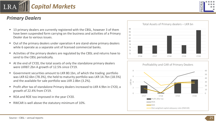LRA



*Capital Markets*

- 13 primary dealers are currently registered with the CBSL, however 3 of them have been suspended form carrying on the business and activities of a Primary Dealer due to various issues.
- Out of the primary dealers under operation 4 are stand-alone primary dealers while 6 operate as a separate unit of licensed commercial banks.
- Activities of the primary dealers are regulated by the CBSL and returns have to send to the CBSL periodically.
- At the end of CY20, the total assets of only the standalone primary dealers were LKR87.2bn A growth of 12.5% since CY19.
- Government securities amount to LKR 80.1bn, of which the trading portfolio was LKR 62.6bn (78.3%), the held to maturity portfolio was LKR 14.7bn (18.5%) and the available for sale portfolio was LKR 2.8bn (3.2%).
- Profit after tax of standalone Primary dealers increased to LKR 4.9bn in CY20, a growth of 22.4% from CY19.
- ROA and ROE too improved in the year CY20.
- RWCAR is well above the statutory minimum of 10%.





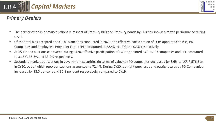

### *Primary Dealers*

- **The participation in primary auctions in respect of Treasury bills and Treasury bonds by PDs has shown a mixed performance during in The Streams and Treasury bonds by PDs has shown a mixed performance during** CY20.
- Of the total bids accepted at 53 T-bills auctions conducted in 2020, the effective participation of LCBs appointed as PDs, PD Companies and Employees' Provident Fund (EPF) accounted to 58.4%, 41.3% and 0.3% respectively.
- At 15 T-bond auctions conducted during CY20, effective participation of LCBs appointed as PDs, PD companies and EPF accounted to 31.5%, 35.3% and 33.2% respectively.
- Secondary market transactions in government securities (in terms of value) by PD companies decreased by 6.6% to LKR 7,576.5bn in CY20, out of which repo transactions accounted to 72.4%. During CY20, outright purchases and outright sales by PD Companies increased by 12.5 per cent and 35.8 per cent respectively, compared to CY19.